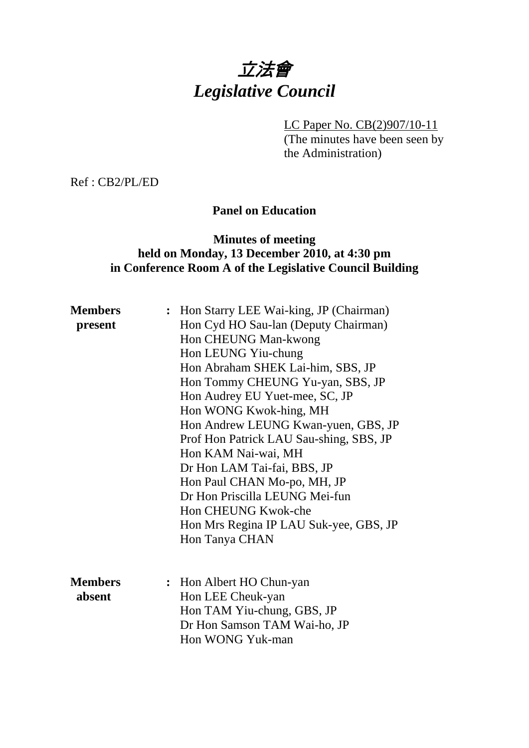## 立法會 *Legislative Council*

LC Paper No. CB(2)907/10-11

(The minutes have been seen by the Administration)

Ref : CB2/PL/ED

## **Panel on Education**

## **Minutes of meeting held on Monday, 13 December 2010, at 4:30 pm in Conference Room A of the Legislative Council Building**

| <b>Members</b> | : Hon Starry LEE Wai-king, JP (Chairman) |
|----------------|------------------------------------------|
| present        | Hon Cyd HO Sau-lan (Deputy Chairman)     |
|                | Hon CHEUNG Man-kwong                     |
|                | Hon LEUNG Yiu-chung                      |
|                | Hon Abraham SHEK Lai-him, SBS, JP        |
|                | Hon Tommy CHEUNG Yu-yan, SBS, JP         |
|                | Hon Audrey EU Yuet-mee, SC, JP           |
|                | Hon WONG Kwok-hing, MH                   |
|                | Hon Andrew LEUNG Kwan-yuen, GBS, JP      |
|                | Prof Hon Patrick LAU Sau-shing, SBS, JP  |
|                | Hon KAM Nai-wai, MH                      |
|                | Dr Hon LAM Tai-fai, BBS, JP              |
|                | Hon Paul CHAN Mo-po, MH, JP              |
|                | Dr Hon Priscilla LEUNG Mei-fun           |
|                | Hon CHEUNG Kwok-che                      |
|                | Hon Mrs Regina IP LAU Suk-yee, GBS, JP   |
|                | Hon Tanya CHAN                           |
|                |                                          |
|                |                                          |
| <b>Members</b> | : Hon Albert HO Chun-yan                 |
| absent         | Hon LEE Cheuk-yan                        |
|                | Hon TAM Yiu-chung, GBS, JP               |
|                | Dr Hon Samson TAM Wai-ho, JP             |
|                | Hon WONG Yuk-man                         |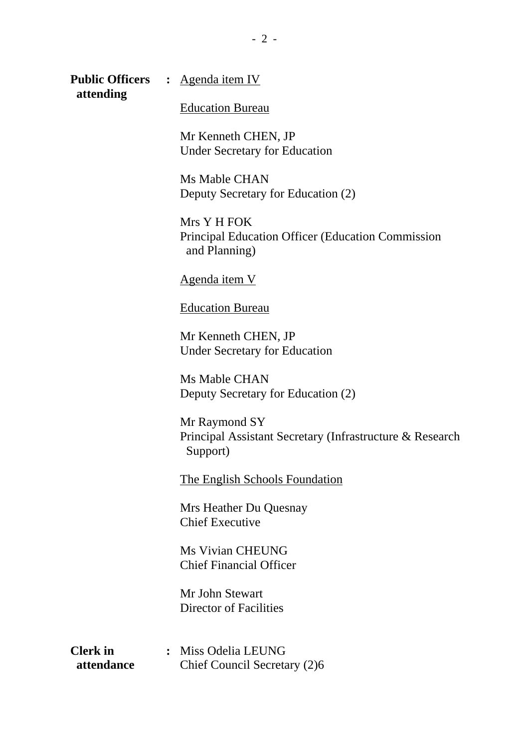**Public Officers :** Agenda item IV  **attending** 

Education Bureau

Mr Kenneth CHEN, JP Under Secretary for Education

Ms Mable CHAN Deputy Secretary for Education (2)

Mrs Y H FOK Principal Education Officer (Education Commission and Planning)

Agenda item V

Education Bureau

Mr Kenneth CHEN, JP Under Secretary for Education

Ms Mable CHAN Deputy Secretary for Education (2)

Mr Raymond SY Principal Assistant Secretary (Infrastructure & Research Support)

The English Schools Foundation

Mrs Heather Du Quesnay Chief Executive

Ms Vivian CHEUNG Chief Financial Officer

Mr John Stewart Director of Facilities

**Clerk in :** Miss Odelia LEUNG **attendance** Chief Council Secretary (2)6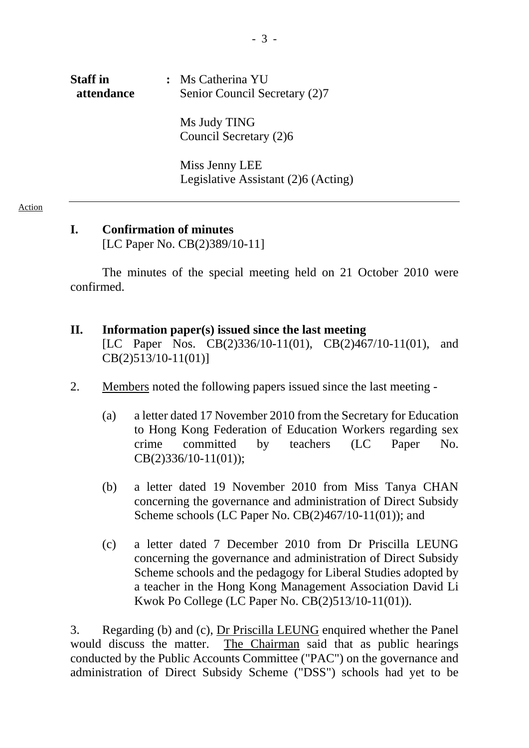# **Staff in :** Ms Catherina YU **attendance** Senior Council Secretary (2)7 Ms Judy TING Council Secretary (2)6

Miss Jenny LEE Legislative Assistant (2)6 (Acting)

#### Action

## **I. Confirmation of minutes**

[LC Paper No. CB(2)389/10-11]

The minutes of the special meeting held on 21 October 2010 were confirmed.

## **II. Information paper(s) issued since the last meeting**  [LC Paper Nos. CB(2)336/10-11(01), CB(2)467/10-11(01), and CB(2)513/10-11(01)]

- 2. Members noted the following papers issued since the last meeting
	- (a) a letter dated 17 November 2010 from the Secretary for Education to Hong Kong Federation of Education Workers regarding sex crime committed by teachers (LC Paper No. CB(2)336/10-11(01));
	- (b) a letter dated 19 November 2010 from Miss Tanya CHAN concerning the governance and administration of Direct Subsidy Scheme schools (LC Paper No. CB(2)467/10-11(01)); and
	- (c) a letter dated 7 December 2010 from Dr Priscilla LEUNG concerning the governance and administration of Direct Subsidy Scheme schools and the pedagogy for Liberal Studies adopted by a teacher in the Hong Kong Management Association David Li Kwok Po College (LC Paper No. CB(2)513/10-11(01)).

3. Regarding (b) and (c), Dr Priscilla LEUNG enquired whether the Panel would discuss the matter. The Chairman said that as public hearings conducted by the Public Accounts Committee ("PAC") on the governance and administration of Direct Subsidy Scheme ("DSS") schools had yet to be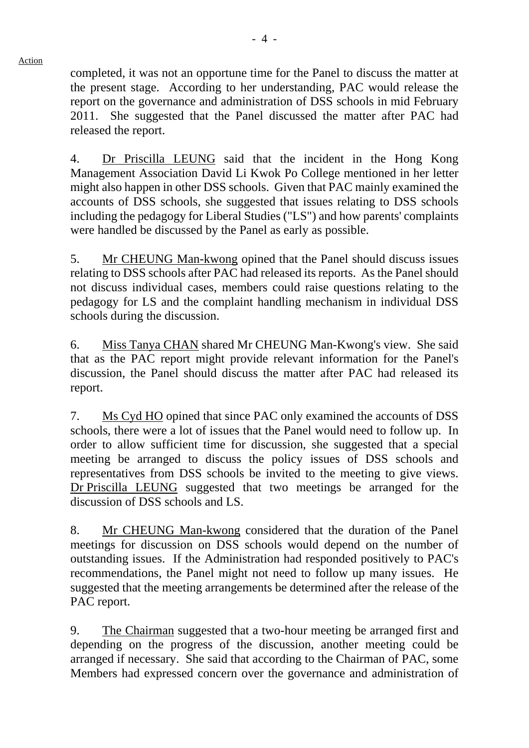completed, it was not an opportune time for the Panel to discuss the matter at the present stage. According to her understanding, PAC would release the report on the governance and administration of DSS schools in mid February 2011. She suggested that the Panel discussed the matter after PAC had released the report.

4. Dr Priscilla LEUNG said that the incident in the Hong Kong Management Association David Li Kwok Po College mentioned in her letter might also happen in other DSS schools. Given that PAC mainly examined the accounts of DSS schools, she suggested that issues relating to DSS schools including the pedagogy for Liberal Studies ("LS") and how parents' complaints were handled be discussed by the Panel as early as possible.

5. Mr CHEUNG Man-kwong opined that the Panel should discuss issues relating to DSS schools after PAC had released its reports. As the Panel should not discuss individual cases, members could raise questions relating to the pedagogy for LS and the complaint handling mechanism in individual DSS schools during the discussion.

6. Miss Tanya CHAN shared Mr CHEUNG Man-Kwong's view. She said that as the PAC report might provide relevant information for the Panel's discussion, the Panel should discuss the matter after PAC had released its report.

7. Ms Cyd HO opined that since PAC only examined the accounts of DSS schools, there were a lot of issues that the Panel would need to follow up. In order to allow sufficient time for discussion, she suggested that a special meeting be arranged to discuss the policy issues of DSS schools and representatives from DSS schools be invited to the meeting to give views. Dr Priscilla LEUNG suggested that two meetings be arranged for the discussion of DSS schools and LS.

8. Mr CHEUNG Man-kwong considered that the duration of the Panel meetings for discussion on DSS schools would depend on the number of outstanding issues. If the Administration had responded positively to PAC's recommendations, the Panel might not need to follow up many issues. He suggested that the meeting arrangements be determined after the release of the PAC report.

9. The Chairman suggested that a two-hour meeting be arranged first and depending on the progress of the discussion, another meeting could be arranged if necessary. She said that according to the Chairman of PAC, some Members had expressed concern over the governance and administration of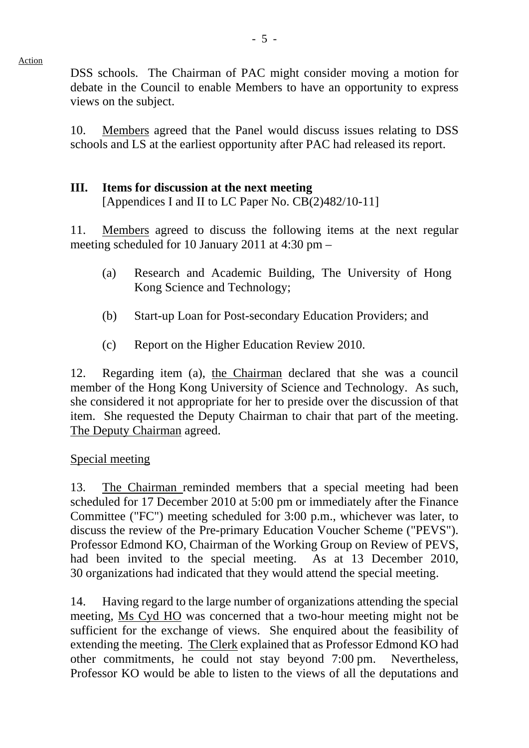DSS schools. The Chairman of PAC might consider moving a motion for debate in the Council to enable Members to have an opportunity to express views on the subject.

10. Members agreed that the Panel would discuss issues relating to DSS schools and LS at the earliest opportunity after PAC had released its report.

## **III. Items for discussion at the next meeting**

[Appendices I and II to LC Paper No. CB(2)482/10-11]

11. Members agreed to discuss the following items at the next regular meeting scheduled for 10 January 2011 at 4:30 pm –

- (a) Research and Academic Building, The University of Hong Kong Science and Technology;
- (b) Start-up Loan for Post-secondary Education Providers; and
- (c) Report on the Higher Education Review 2010.

12. Regarding item (a), the Chairman declared that she was a council member of the Hong Kong University of Science and Technology. As such, she considered it not appropriate for her to preside over the discussion of that item. She requested the Deputy Chairman to chair that part of the meeting. The Deputy Chairman agreed.

## Special meeting

Action

13. The Chairman reminded members that a special meeting had been scheduled for 17 December 2010 at 5:00 pm or immediately after the Finance Committee ("FC") meeting scheduled for 3:00 p.m., whichever was later, to discuss the review of the Pre-primary Education Voucher Scheme ("PEVS"). Professor Edmond KO, Chairman of the Working Group on Review of PEVS, had been invited to the special meeting. As at 13 December 2010, 30 organizations had indicated that they would attend the special meeting.

14. Having regard to the large number of organizations attending the special meeting, Ms Cyd HO was concerned that a two-hour meeting might not be sufficient for the exchange of views. She enquired about the feasibility of extending the meeting. The Clerk explained that as Professor Edmond KO had other commitments, he could not stay beyond 7:00 pm. Nevertheless, Professor KO would be able to listen to the views of all the deputations and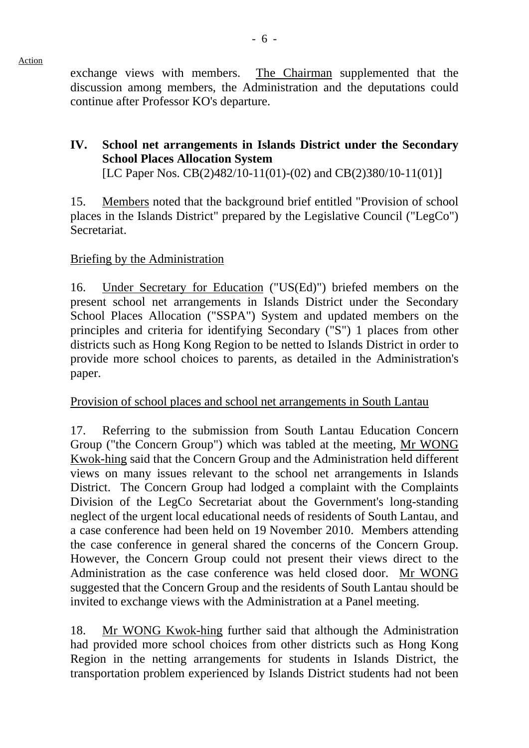exchange views with members. The Chairman supplemented that the discussion among members, the Administration and the deputations could continue after Professor KO's departure.

## **IV. School net arrangements in Islands District under the Secondary School Places Allocation System**

[LC Paper Nos. CB(2)482/10-11(01)-(02) and CB(2)380/10-11(01)]

15. Members noted that the background brief entitled "Provision of school places in the Islands District" prepared by the Legislative Council ("LegCo") Secretariat.

## Briefing by the Administration

16. Under Secretary for Education ("US(Ed)") briefed members on the present school net arrangements in Islands District under the Secondary School Places Allocation ("SSPA") System and updated members on the principles and criteria for identifying Secondary ("S") 1 places from other districts such as Hong Kong Region to be netted to Islands District in order to provide more school choices to parents, as detailed in the Administration's paper.

## Provision of school places and school net arrangements in South Lantau

17. Referring to the submission from South Lantau Education Concern Group ("the Concern Group") which was tabled at the meeting, Mr WONG Kwok-hing said that the Concern Group and the Administration held different views on many issues relevant to the school net arrangements in Islands District. The Concern Group had lodged a complaint with the Complaints Division of the LegCo Secretariat about the Government's long-standing neglect of the urgent local educational needs of residents of South Lantau, and a case conference had been held on 19 November 2010. Members attending the case conference in general shared the concerns of the Concern Group. However, the Concern Group could not present their views direct to the Administration as the case conference was held closed door. Mr WONG suggested that the Concern Group and the residents of South Lantau should be invited to exchange views with the Administration at a Panel meeting.

18. Mr WONG Kwok-hing further said that although the Administration had provided more school choices from other districts such as Hong Kong Region in the netting arrangements for students in Islands District, the transportation problem experienced by Islands District students had not been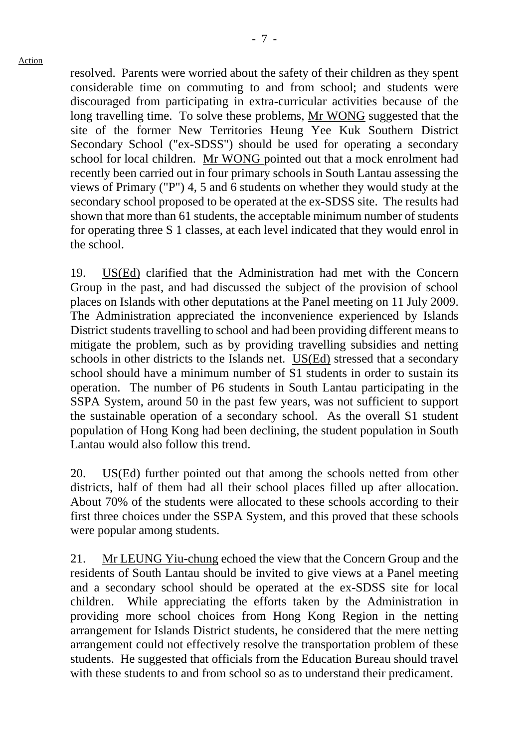resolved. Parents were worried about the safety of their children as they spent considerable time on commuting to and from school; and students were discouraged from participating in extra-curricular activities because of the long travelling time. To solve these problems, Mr WONG suggested that the site of the former New Territories Heung Yee Kuk Southern District Secondary School ("ex-SDSS") should be used for operating a secondary school for local children. Mr WONG pointed out that a mock enrolment had recently been carried out in four primary schools in South Lantau assessing the views of Primary ("P") 4, 5 and 6 students on whether they would study at the secondary school proposed to be operated at the ex-SDSS site. The results had shown that more than 61 students, the acceptable minimum number of students for operating three S 1 classes, at each level indicated that they would enrol in the school.

19. US(Ed) clarified that the Administration had met with the Concern Group in the past, and had discussed the subject of the provision of school places on Islands with other deputations at the Panel meeting on 11 July 2009. The Administration appreciated the inconvenience experienced by Islands District students travelling to school and had been providing different means to mitigate the problem, such as by providing travelling subsidies and netting schools in other districts to the Islands net. US(Ed) stressed that a secondary school should have a minimum number of S1 students in order to sustain its operation. The number of P6 students in South Lantau participating in the SSPA System, around 50 in the past few years, was not sufficient to support the sustainable operation of a secondary school. As the overall S1 student population of Hong Kong had been declining, the student population in South Lantau would also follow this trend.

20. US(Ed) further pointed out that among the schools netted from other districts, half of them had all their school places filled up after allocation. About 70% of the students were allocated to these schools according to their first three choices under the SSPA System, and this proved that these schools were popular among students.

21. Mr LEUNG Yiu-chung echoed the view that the Concern Group and the residents of South Lantau should be invited to give views at a Panel meeting and a secondary school should be operated at the ex-SDSS site for local children. While appreciating the efforts taken by the Administration in providing more school choices from Hong Kong Region in the netting arrangement for Islands District students, he considered that the mere netting arrangement could not effectively resolve the transportation problem of these students. He suggested that officials from the Education Bureau should travel with these students to and from school so as to understand their predicament.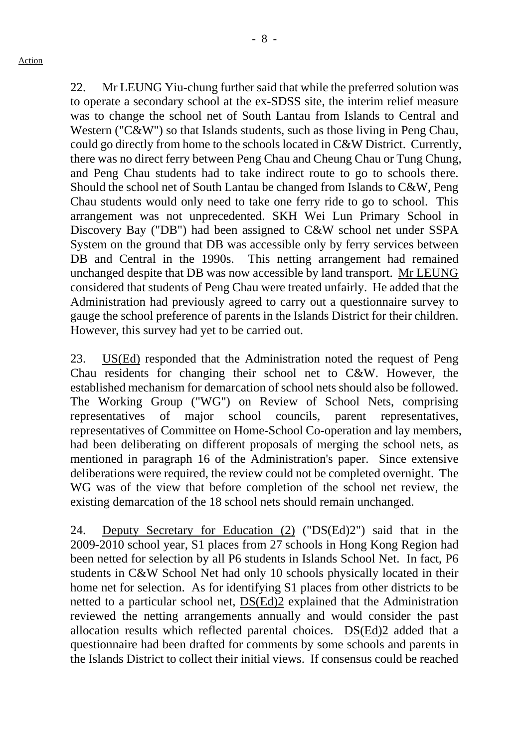- 8 -

22. Mr LEUNG Yiu-chung further said that while the preferred solution was to operate a secondary school at the ex-SDSS site, the interim relief measure was to change the school net of South Lantau from Islands to Central and Western ("C&W") so that Islands students, such as those living in Peng Chau, could go directly from home to the schools located in C&W District. Currently, there was no direct ferry between Peng Chau and Cheung Chau or Tung Chung, and Peng Chau students had to take indirect route to go to schools there. Should the school net of South Lantau be changed from Islands to C&W, Peng Chau students would only need to take one ferry ride to go to school. This arrangement was not unprecedented. SKH Wei Lun Primary School in Discovery Bay ("DB") had been assigned to C&W school net under SSPA System on the ground that DB was accessible only by ferry services between DB and Central in the 1990s. This netting arrangement had remained unchanged despite that DB was now accessible by land transport. Mr LEUNG considered that students of Peng Chau were treated unfairly. He added that the Administration had previously agreed to carry out a questionnaire survey to gauge the school preference of parents in the Islands District for their children. However, this survey had yet to be carried out.

23. US(Ed) responded that the Administration noted the request of Peng Chau residents for changing their school net to C&W. However, the established mechanism for demarcation of school nets should also be followed. The Working Group ("WG") on Review of School Nets, comprising representatives of major school councils, parent representatives, representatives of Committee on Home-School Co-operation and lay members, had been deliberating on different proposals of merging the school nets, as mentioned in paragraph 16 of the Administration's paper. Since extensive deliberations were required, the review could not be completed overnight. The WG was of the view that before completion of the school net review, the existing demarcation of the 18 school nets should remain unchanged.

24. Deputy Secretary for Education (2) ("DS(Ed)2") said that in the 2009-2010 school year, S1 places from 27 schools in Hong Kong Region had been netted for selection by all P6 students in Islands School Net. In fact, P6 students in C&W School Net had only 10 schools physically located in their home net for selection. As for identifying S1 places from other districts to be netted to a particular school net, DS(Ed)2 explained that the Administration reviewed the netting arrangements annually and would consider the past allocation results which reflected parental choices. DS(Ed)2 added that a questionnaire had been drafted for comments by some schools and parents in the Islands District to collect their initial views. If consensus could be reached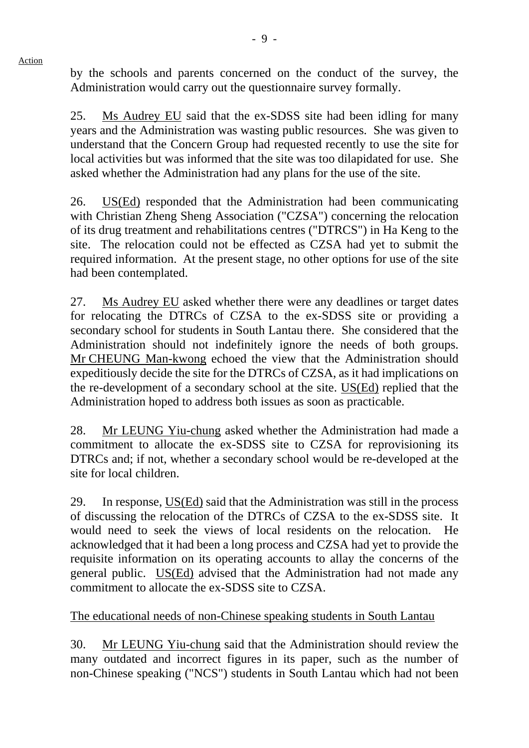Action

by the schools and parents concerned on the conduct of the survey, the Administration would carry out the questionnaire survey formally.

25. Ms Audrey EU said that the ex-SDSS site had been idling for many years and the Administration was wasting public resources. She was given to understand that the Concern Group had requested recently to use the site for local activities but was informed that the site was too dilapidated for use. She asked whether the Administration had any plans for the use of the site.

26. US(Ed) responded that the Administration had been communicating with Christian Zheng Sheng Association ("CZSA") concerning the relocation of its drug treatment and rehabilitations centres ("DTRCS") in Ha Keng to the site. The relocation could not be effected as CZSA had yet to submit the required information. At the present stage, no other options for use of the site had been contemplated.

27. Ms Audrey EU asked whether there were any deadlines or target dates for relocating the DTRCs of CZSA to the ex-SDSS site or providing a secondary school for students in South Lantau there. She considered that the Administration should not indefinitely ignore the needs of both groups. Mr CHEUNG Man-kwong echoed the view that the Administration should expeditiously decide the site for the DTRCs of CZSA, as it had implications on the re-development of a secondary school at the site. US(Ed) replied that the Administration hoped to address both issues as soon as practicable.

28. Mr LEUNG Yiu-chung asked whether the Administration had made a commitment to allocate the ex-SDSS site to CZSA for reprovisioning its DTRCs and; if not, whether a secondary school would be re-developed at the site for local children.

29. In response, US(Ed) said that the Administration was still in the process of discussing the relocation of the DTRCs of CZSA to the ex-SDSS site. It would need to seek the views of local residents on the relocation. He acknowledged that it had been a long process and CZSA had yet to provide the requisite information on its operating accounts to allay the concerns of the general public. US(Ed) advised that the Administration had not made any commitment to allocate the ex-SDSS site to CZSA.

### The educational needs of non-Chinese speaking students in South Lantau

30. Mr LEUNG Yiu-chung said that the Administration should review the many outdated and incorrect figures in its paper, such as the number of non-Chinese speaking ("NCS") students in South Lantau which had not been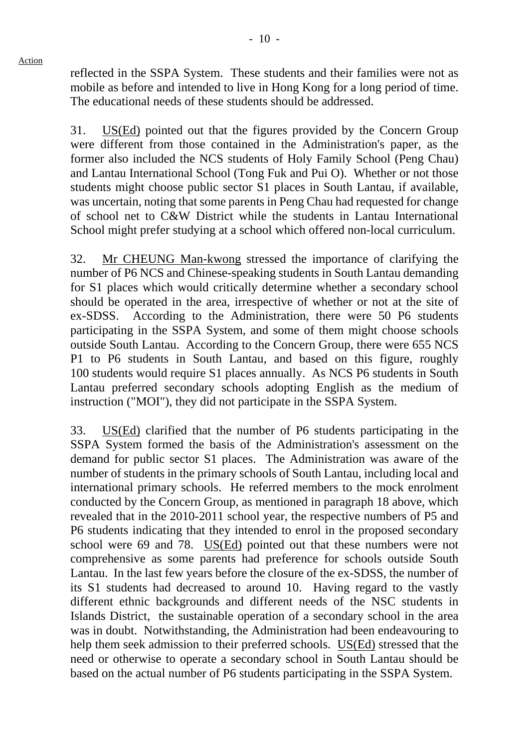reflected in the SSPA System. These students and their families were not as mobile as before and intended to live in Hong Kong for a long period of time. The educational needs of these students should be addressed.

31. US(Ed) pointed out that the figures provided by the Concern Group were different from those contained in the Administration's paper, as the former also included the NCS students of Holy Family School (Peng Chau) and Lantau International School (Tong Fuk and Pui O). Whether or not those students might choose public sector S1 places in South Lantau, if available, was uncertain, noting that some parents in Peng Chau had requested for change of school net to C&W District while the students in Lantau International School might prefer studying at a school which offered non-local curriculum.

32. Mr CHEUNG Man-kwong stressed the importance of clarifying the number of P6 NCS and Chinese-speaking students in South Lantau demanding for S1 places which would critically determine whether a secondary school should be operated in the area, irrespective of whether or not at the site of ex-SDSS. According to the Administration, there were 50 P6 students participating in the SSPA System, and some of them might choose schools outside South Lantau. According to the Concern Group, there were 655 NCS P1 to P6 students in South Lantau, and based on this figure, roughly 100 students would require S1 places annually. As NCS P6 students in South Lantau preferred secondary schools adopting English as the medium of instruction ("MOI"), they did not participate in the SSPA System.

33. US(Ed) clarified that the number of P6 students participating in the SSPA System formed the basis of the Administration's assessment on the demand for public sector S1 places. The Administration was aware of the number of students in the primary schools of South Lantau, including local and international primary schools. He referred members to the mock enrolment conducted by the Concern Group, as mentioned in paragraph 18 above, which revealed that in the 2010-2011 school year, the respective numbers of P5 and P6 students indicating that they intended to enrol in the proposed secondary school were 69 and 78. US(Ed) pointed out that these numbers were not comprehensive as some parents had preference for schools outside South Lantau. In the last few years before the closure of the ex-SDSS, the number of its S1 students had decreased to around 10. Having regard to the vastly different ethnic backgrounds and different needs of the NSC students in Islands District, the sustainable operation of a secondary school in the area was in doubt. Notwithstanding, the Administration had been endeavouring to help them seek admission to their preferred schools. US(Ed) stressed that the need or otherwise to operate a secondary school in South Lantau should be based on the actual number of P6 students participating in the SSPA System.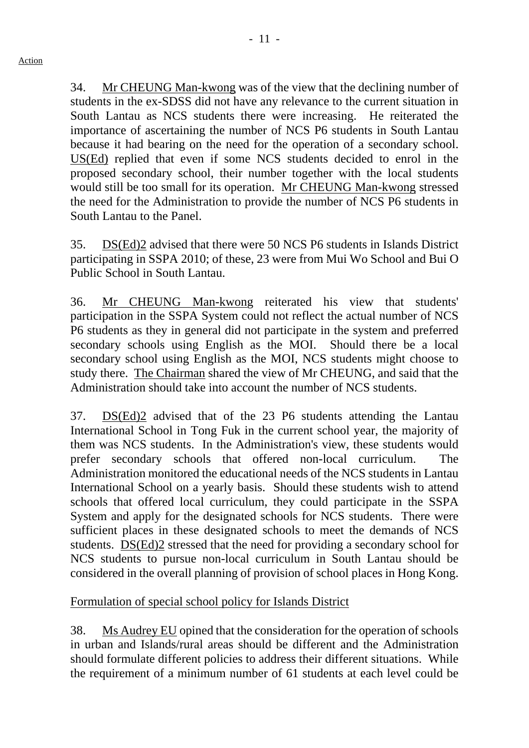34. Mr CHEUNG Man-kwong was of the view that the declining number of students in the ex-SDSS did not have any relevance to the current situation in South Lantau as NCS students there were increasing. He reiterated the importance of ascertaining the number of NCS P6 students in South Lantau because it had bearing on the need for the operation of a secondary school. US(Ed) replied that even if some NCS students decided to enrol in the proposed secondary school, their number together with the local students would still be too small for its operation. Mr CHEUNG Man-kwong stressed the need for the Administration to provide the number of NCS P6 students in South Lantau to the Panel.

35. DS(Ed)2 advised that there were 50 NCS P6 students in Islands District participating in SSPA 2010; of these, 23 were from Mui Wo School and Bui O Public School in South Lantau.

36. Mr CHEUNG Man-kwong reiterated his view that students' participation in the SSPA System could not reflect the actual number of NCS P6 students as they in general did not participate in the system and preferred secondary schools using English as the MOI. Should there be a local secondary school using English as the MOI, NCS students might choose to study there. The Chairman shared the view of Mr CHEUNG, and said that the Administration should take into account the number of NCS students.

37. DS(Ed)2 advised that of the 23 P6 students attending the Lantau International School in Tong Fuk in the current school year, the majority of them was NCS students. In the Administration's view, these students would prefer secondary schools that offered non-local curriculum. The Administration monitored the educational needs of the NCS students in Lantau International School on a yearly basis. Should these students wish to attend schools that offered local curriculum, they could participate in the SSPA System and apply for the designated schools for NCS students. There were sufficient places in these designated schools to meet the demands of NCS students. DS(Ed)2 stressed that the need for providing a secondary school for NCS students to pursue non-local curriculum in South Lantau should be considered in the overall planning of provision of school places in Hong Kong.

Formulation of special school policy for Islands District

38. Ms Audrey EU opined that the consideration for the operation of schools in urban and Islands/rural areas should be different and the Administration should formulate different policies to address their different situations. While the requirement of a minimum number of 61 students at each level could be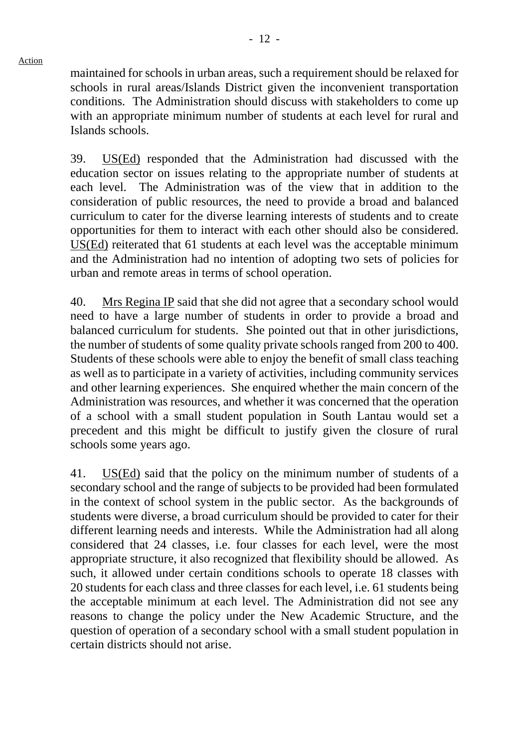maintained for schools in urban areas, such a requirement should be relaxed for schools in rural areas/Islands District given the inconvenient transportation conditions. The Administration should discuss with stakeholders to come up with an appropriate minimum number of students at each level for rural and Islands schools.

39. US(Ed) responded that the Administration had discussed with the education sector on issues relating to the appropriate number of students at each level. The Administration was of the view that in addition to the consideration of public resources, the need to provide a broad and balanced curriculum to cater for the diverse learning interests of students and to create opportunities for them to interact with each other should also be considered. US(Ed) reiterated that 61 students at each level was the acceptable minimum and the Administration had no intention of adopting two sets of policies for urban and remote areas in terms of school operation.

40. Mrs Regina IP said that she did not agree that a secondary school would need to have a large number of students in order to provide a broad and balanced curriculum for students. She pointed out that in other jurisdictions, the number of students of some quality private schools ranged from 200 to 400. Students of these schools were able to enjoy the benefit of small class teaching as well as to participate in a variety of activities, including community services and other learning experiences. She enquired whether the main concern of the Administration was resources, and whether it was concerned that the operation of a school with a small student population in South Lantau would set a precedent and this might be difficult to justify given the closure of rural schools some years ago.

41. US(Ed) said that the policy on the minimum number of students of a secondary school and the range of subjects to be provided had been formulated in the context of school system in the public sector. As the backgrounds of students were diverse, a broad curriculum should be provided to cater for their different learning needs and interests. While the Administration had all along considered that 24 classes, i.e. four classes for each level, were the most appropriate structure, it also recognized that flexibility should be allowed. As such, it allowed under certain conditions schools to operate 18 classes with 20 students for each class and three classes for each level, i.e. 61 students being the acceptable minimum at each level. The Administration did not see any reasons to change the policy under the New Academic Structure, and the question of operation of a secondary school with a small student population in certain districts should not arise.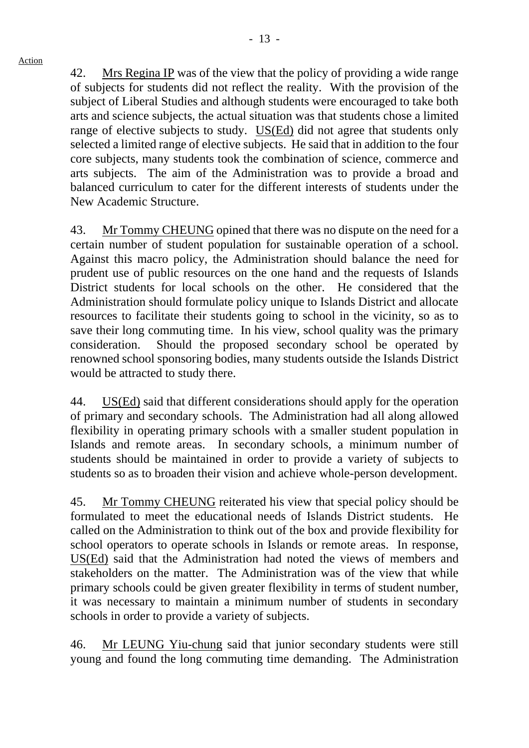42. Mrs Regina IP was of the view that the policy of providing a wide range of subjects for students did not reflect the reality. With the provision of the subject of Liberal Studies and although students were encouraged to take both arts and science subjects, the actual situation was that students chose a limited range of elective subjects to study. US(Ed) did not agree that students only selected a limited range of elective subjects. He said that in addition to the four core subjects, many students took the combination of science, commerce and arts subjects. The aim of the Administration was to provide a broad and balanced curriculum to cater for the different interests of students under the New Academic Structure.

43. Mr Tommy CHEUNG opined that there was no dispute on the need for a certain number of student population for sustainable operation of a school. Against this macro policy, the Administration should balance the need for prudent use of public resources on the one hand and the requests of Islands District students for local schools on the other. He considered that the Administration should formulate policy unique to Islands District and allocate resources to facilitate their students going to school in the vicinity, so as to save their long commuting time. In his view, school quality was the primary consideration. Should the proposed secondary school be operated by renowned school sponsoring bodies, many students outside the Islands District would be attracted to study there.

44. US(Ed) said that different considerations should apply for the operation of primary and secondary schools. The Administration had all along allowed flexibility in operating primary schools with a smaller student population in Islands and remote areas. In secondary schools, a minimum number of students should be maintained in order to provide a variety of subjects to students so as to broaden their vision and achieve whole-person development.

45. Mr Tommy CHEUNG reiterated his view that special policy should be formulated to meet the educational needs of Islands District students. He called on the Administration to think out of the box and provide flexibility for school operators to operate schools in Islands or remote areas. In response, US(Ed) said that the Administration had noted the views of members and stakeholders on the matter. The Administration was of the view that while primary schools could be given greater flexibility in terms of student number, it was necessary to maintain a minimum number of students in secondary schools in order to provide a variety of subjects.

46. Mr LEUNG Yiu-chung said that junior secondary students were still young and found the long commuting time demanding. The Administration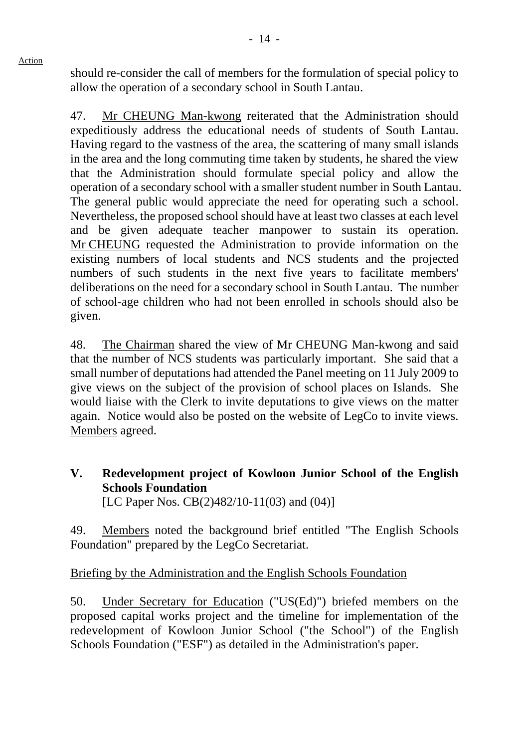should re-consider the call of members for the formulation of special policy to allow the operation of a secondary school in South Lantau.

47. Mr CHEUNG Man-kwong reiterated that the Administration should expeditiously address the educational needs of students of South Lantau. Having regard to the vastness of the area, the scattering of many small islands in the area and the long commuting time taken by students, he shared the view that the Administration should formulate special policy and allow the operation of a secondary school with a smaller student number in South Lantau. The general public would appreciate the need for operating such a school. Nevertheless, the proposed school should have at least two classes at each level and be given adequate teacher manpower to sustain its operation. Mr CHEUNG requested the Administration to provide information on the existing numbers of local students and NCS students and the projected numbers of such students in the next five years to facilitate members' deliberations on the need for a secondary school in South Lantau. The number of school-age children who had not been enrolled in schools should also be given.

48. The Chairman shared the view of Mr CHEUNG Man-kwong and said that the number of NCS students was particularly important. She said that a small number of deputations had attended the Panel meeting on 11 July 2009 to give views on the subject of the provision of school places on Islands. She would liaise with the Clerk to invite deputations to give views on the matter again. Notice would also be posted on the website of LegCo to invite views. Members agreed.

**V. Redevelopment project of Kowloon Junior School of the English Schools Foundation**  [LC Paper Nos. CB(2)482/10-11(03) and (04)]

49. Members noted the background brief entitled "The English Schools Foundation" prepared by the LegCo Secretariat.

## Briefing by the Administration and the English Schools Foundation

50. Under Secretary for Education ("US(Ed)") briefed members on the proposed capital works project and the timeline for implementation of the redevelopment of Kowloon Junior School ("the School") of the English Schools Foundation ("ESF") as detailed in the Administration's paper.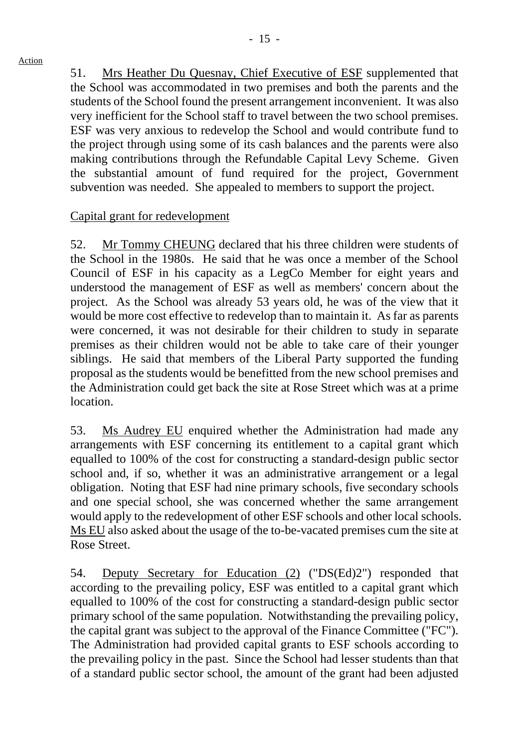51. Mrs Heather Du Quesnay, Chief Executive of ESF supplemented that the School was accommodated in two premises and both the parents and the students of the School found the present arrangement inconvenient. It was also very inefficient for the School staff to travel between the two school premises. ESF was very anxious to redevelop the School and would contribute fund to the project through using some of its cash balances and the parents were also making contributions through the Refundable Capital Levy Scheme. Given the substantial amount of fund required for the project, Government subvention was needed. She appealed to members to support the project.

## Capital grant for redevelopment

52. Mr Tommy CHEUNG declared that his three children were students of the School in the 1980s. He said that he was once a member of the School Council of ESF in his capacity as a LegCo Member for eight years and understood the management of ESF as well as members' concern about the project. As the School was already 53 years old, he was of the view that it would be more cost effective to redevelop than to maintain it. As far as parents were concerned, it was not desirable for their children to study in separate premises as their children would not be able to take care of their younger siblings. He said that members of the Liberal Party supported the funding proposal as the students would be benefitted from the new school premises and the Administration could get back the site at Rose Street which was at a prime location.

53. Ms Audrey EU enquired whether the Administration had made any arrangements with ESF concerning its entitlement to a capital grant which equalled to 100% of the cost for constructing a standard-design public sector school and, if so, whether it was an administrative arrangement or a legal obligation. Noting that ESF had nine primary schools, five secondary schools and one special school, she was concerned whether the same arrangement would apply to the redevelopment of other ESF schools and other local schools. Ms EU also asked about the usage of the to-be-vacated premises cum the site at Rose Street.

54. Deputy Secretary for Education (2) ("DS(Ed)2") responded that according to the prevailing policy, ESF was entitled to a capital grant which equalled to 100% of the cost for constructing a standard-design public sector primary school of the same population. Notwithstanding the prevailing policy, the capital grant was subject to the approval of the Finance Committee ("FC"). The Administration had provided capital grants to ESF schools according to the prevailing policy in the past. Since the School had lesser students than that of a standard public sector school, the amount of the grant had been adjusted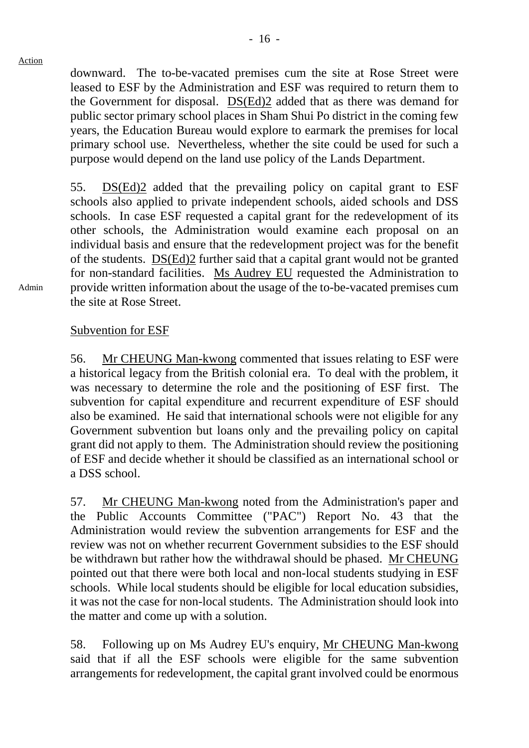downward. The to-be-vacated premises cum the site at Rose Street were leased to ESF by the Administration and ESF was required to return them to the Government for disposal. DS(Ed)2 added that as there was demand for public sector primary school places in Sham Shui Po district in the coming few years, the Education Bureau would explore to earmark the premises for local primary school use. Nevertheless, whether the site could be used for such a purpose would depend on the land use policy of the Lands Department.

55. DS(Ed)2 added that the prevailing policy on capital grant to ESF schools also applied to private independent schools, aided schools and DSS schools. In case ESF requested a capital grant for the redevelopment of its other schools, the Administration would examine each proposal on an individual basis and ensure that the redevelopment project was for the benefit of the students. DS(Ed)2 further said that a capital grant would not be granted for non-standard facilities. Ms Audrey EU requested the Administration to provide written information about the usage of the to-be-vacated premises cum the site at Rose Street.

### Subvention for ESF

56. Mr CHEUNG Man-kwong commented that issues relating to ESF were a historical legacy from the British colonial era. To deal with the problem, it was necessary to determine the role and the positioning of ESF first. The subvention for capital expenditure and recurrent expenditure of ESF should also be examined. He said that international schools were not eligible for any Government subvention but loans only and the prevailing policy on capital grant did not apply to them. The Administration should review the positioning of ESF and decide whether it should be classified as an international school or a DSS school.

57. Mr CHEUNG Man-kwong noted from the Administration's paper and the Public Accounts Committee ("PAC") Report No. 43 that the Administration would review the subvention arrangements for ESF and the review was not on whether recurrent Government subsidies to the ESF should be withdrawn but rather how the withdrawal should be phased. Mr CHEUNG pointed out that there were both local and non-local students studying in ESF schools. While local students should be eligible for local education subsidies, it was not the case for non-local students. The Administration should look into the matter and come up with a solution.

58. Following up on Ms Audrey EU's enquiry, Mr CHEUNG Man-kwong said that if all the ESF schools were eligible for the same subvention arrangements for redevelopment, the capital grant involved could be enormous

Admin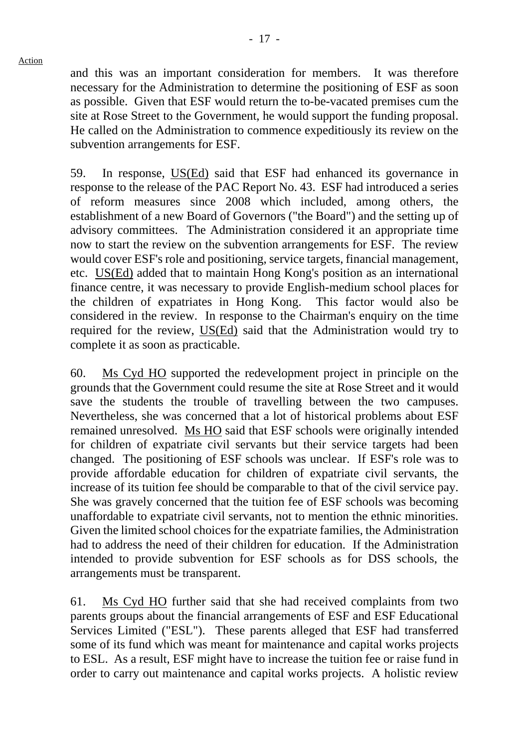and this was an important consideration for members. It was therefore necessary for the Administration to determine the positioning of ESF as soon as possible. Given that ESF would return the to-be-vacated premises cum the site at Rose Street to the Government, he would support the funding proposal. He called on the Administration to commence expeditiously its review on the subvention arrangements for ESF.

59. In response, US(Ed) said that ESF had enhanced its governance in response to the release of the PAC Report No. 43. ESF had introduced a series of reform measures since 2008 which included, among others, the establishment of a new Board of Governors ("the Board") and the setting up of advisory committees. The Administration considered it an appropriate time now to start the review on the subvention arrangements for ESF. The review would cover ESF's role and positioning, service targets, financial management, etc. US(Ed) added that to maintain Hong Kong's position as an international finance centre, it was necessary to provide English-medium school places for the children of expatriates in Hong Kong. This factor would also be considered in the review. In response to the Chairman's enquiry on the time required for the review, US(Ed) said that the Administration would try to complete it as soon as practicable.

60. Ms Cyd HO supported the redevelopment project in principle on the grounds that the Government could resume the site at Rose Street and it would save the students the trouble of travelling between the two campuses. Nevertheless, she was concerned that a lot of historical problems about ESF remained unresolved. Ms HO said that ESF schools were originally intended for children of expatriate civil servants but their service targets had been changed. The positioning of ESF schools was unclear. If ESF's role was to provide affordable education for children of expatriate civil servants, the increase of its tuition fee should be comparable to that of the civil service pay. She was gravely concerned that the tuition fee of ESF schools was becoming unaffordable to expatriate civil servants, not to mention the ethnic minorities. Given the limited school choices for the expatriate families, the Administration had to address the need of their children for education. If the Administration intended to provide subvention for ESF schools as for DSS schools, the arrangements must be transparent.

61. Ms Cyd HO further said that she had received complaints from two parents groups about the financial arrangements of ESF and ESF Educational Services Limited ("ESL"). These parents alleged that ESF had transferred some of its fund which was meant for maintenance and capital works projects to ESL. As a result, ESF might have to increase the tuition fee or raise fund in order to carry out maintenance and capital works projects. A holistic review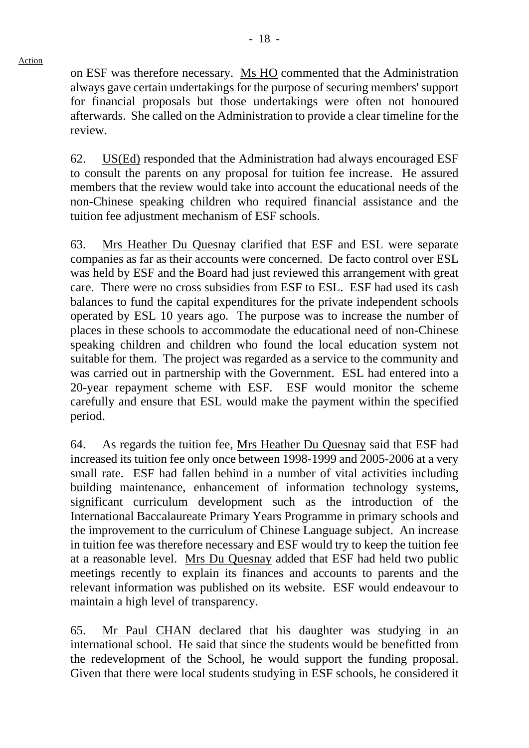on ESF was therefore necessary. Ms HO commented that the Administration always gave certain undertakings for the purpose of securing members' support for financial proposals but those undertakings were often not honoured afterwards. She called on the Administration to provide a clear timeline for the review.

62. US(Ed) responded that the Administration had always encouraged ESF to consult the parents on any proposal for tuition fee increase. He assured members that the review would take into account the educational needs of the non-Chinese speaking children who required financial assistance and the tuition fee adjustment mechanism of ESF schools.

63. Mrs Heather Du Quesnay clarified that ESF and ESL were separate companies as far as their accounts were concerned. De facto control over ESL was held by ESF and the Board had just reviewed this arrangement with great care. There were no cross subsidies from ESF to ESL. ESF had used its cash balances to fund the capital expenditures for the private independent schools operated by ESL 10 years ago. The purpose was to increase the number of places in these schools to accommodate the educational need of non-Chinese speaking children and children who found the local education system not suitable for them. The project was regarded as a service to the community and was carried out in partnership with the Government. ESL had entered into a 20-year repayment scheme with ESF. ESF would monitor the scheme carefully and ensure that ESL would make the payment within the specified period.

64. As regards the tuition fee, Mrs Heather Du Quesnay said that ESF had increased its tuition fee only once between 1998-1999 and 2005-2006 at a very small rate. ESF had fallen behind in a number of vital activities including building maintenance, enhancement of information technology systems, significant curriculum development such as the introduction of the International Baccalaureate Primary Years Programme in primary schools and the improvement to the curriculum of Chinese Language subject. An increase in tuition fee was therefore necessary and ESF would try to keep the tuition fee at a reasonable level. Mrs Du Quesnay added that ESF had held two public meetings recently to explain its finances and accounts to parents and the relevant information was published on its website. ESF would endeavour to maintain a high level of transparency.

65. Mr Paul CHAN declared that his daughter was studying in an international school. He said that since the students would be benefitted from the redevelopment of the School, he would support the funding proposal. Given that there were local students studying in ESF schools, he considered it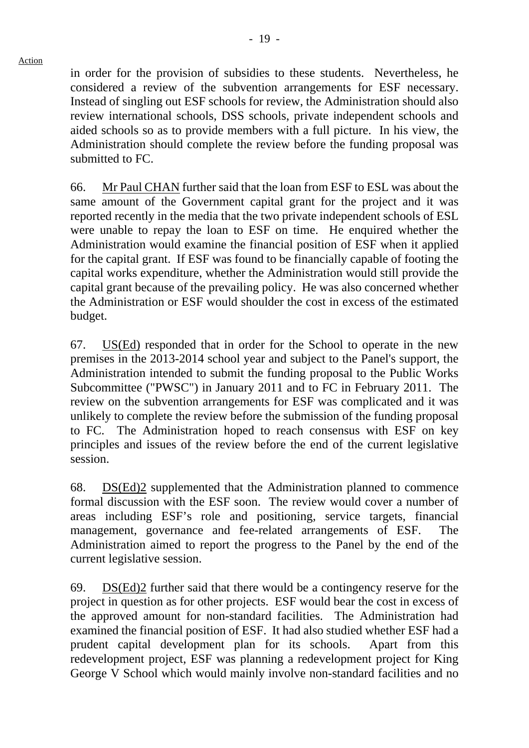in order for the provision of subsidies to these students. Nevertheless, he considered a review of the subvention arrangements for ESF necessary. Instead of singling out ESF schools for review, the Administration should also review international schools, DSS schools, private independent schools and aided schools so as to provide members with a full picture. In his view, the Administration should complete the review before the funding proposal was submitted to FC.

66. Mr Paul CHAN further said that the loan from ESF to ESL was about the same amount of the Government capital grant for the project and it was reported recently in the media that the two private independent schools of ESL were unable to repay the loan to ESF on time. He enquired whether the Administration would examine the financial position of ESF when it applied for the capital grant. If ESF was found to be financially capable of footing the capital works expenditure, whether the Administration would still provide the capital grant because of the prevailing policy. He was also concerned whether the Administration or ESF would shoulder the cost in excess of the estimated budget.

67. US(Ed) responded that in order for the School to operate in the new premises in the 2013-2014 school year and subject to the Panel's support, the Administration intended to submit the funding proposal to the Public Works Subcommittee ("PWSC") in January 2011 and to FC in February 2011. The review on the subvention arrangements for ESF was complicated and it was unlikely to complete the review before the submission of the funding proposal to FC. The Administration hoped to reach consensus with ESF on key principles and issues of the review before the end of the current legislative session.

68. DS(Ed)2 supplemented that the Administration planned to commence formal discussion with the ESF soon. The review would cover a number of areas including ESF's role and positioning, service targets, financial management, governance and fee-related arrangements of ESF. The Administration aimed to report the progress to the Panel by the end of the current legislative session.

69. DS(Ed)2 further said that there would be a contingency reserve for the project in question as for other projects. ESF would bear the cost in excess of the approved amount for non-standard facilities. The Administration had examined the financial position of ESF. It had also studied whether ESF had a prudent capital development plan for its schools. Apart from this redevelopment project, ESF was planning a redevelopment project for King George V School which would mainly involve non-standard facilities and no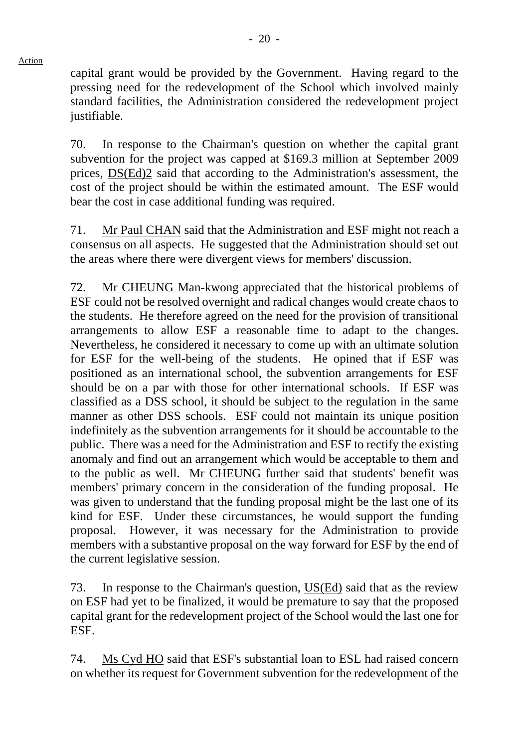capital grant would be provided by the Government. Having regard to the pressing need for the redevelopment of the School which involved mainly standard facilities, the Administration considered the redevelopment project justifiable.

70. In response to the Chairman's question on whether the capital grant subvention for the project was capped at \$169.3 million at September 2009 prices, DS(Ed)2 said that according to the Administration's assessment, the cost of the project should be within the estimated amount. The ESF would bear the cost in case additional funding was required.

71. Mr Paul CHAN said that the Administration and ESF might not reach a consensus on all aspects. He suggested that the Administration should set out the areas where there were divergent views for members' discussion.

72. Mr CHEUNG Man-kwong appreciated that the historical problems of ESF could not be resolved overnight and radical changes would create chaos to the students. He therefore agreed on the need for the provision of transitional arrangements to allow ESF a reasonable time to adapt to the changes. Nevertheless, he considered it necessary to come up with an ultimate solution for ESF for the well-being of the students. He opined that if ESF was positioned as an international school, the subvention arrangements for ESF should be on a par with those for other international schools. If ESF was classified as a DSS school, it should be subject to the regulation in the same manner as other DSS schools. ESF could not maintain its unique position indefinitely as the subvention arrangements for it should be accountable to the public. There was a need for the Administration and ESF to rectify the existing anomaly and find out an arrangement which would be acceptable to them and to the public as well. Mr CHEUNG further said that students' benefit was members' primary concern in the consideration of the funding proposal. He was given to understand that the funding proposal might be the last one of its kind for ESF. Under these circumstances, he would support the funding proposal. However, it was necessary for the Administration to provide members with a substantive proposal on the way forward for ESF by the end of the current legislative session.

73. In response to the Chairman's question, US(Ed) said that as the review on ESF had yet to be finalized, it would be premature to say that the proposed capital grant for the redevelopment project of the School would the last one for ESF.

74. Ms Cyd HO said that ESF's substantial loan to ESL had raised concern on whether its request for Government subvention for the redevelopment of the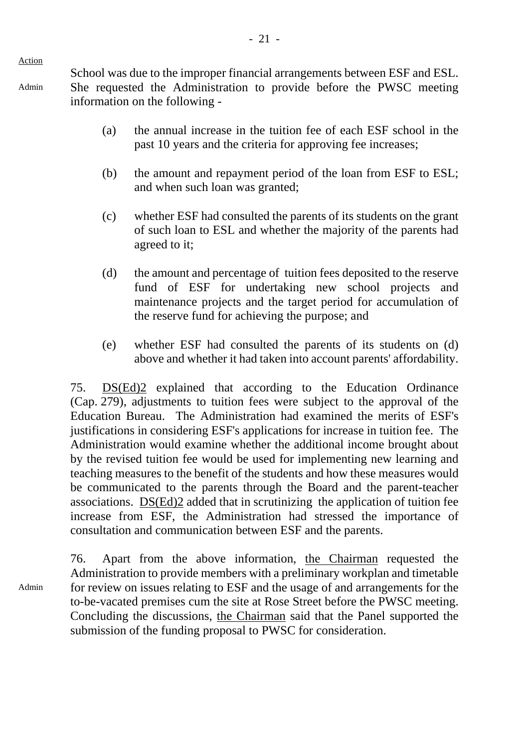Action

Admin

School was due to the improper financial arrangements between ESF and ESL. She requested the Administration to provide before the PWSC meeting information on the following -

- (a) the annual increase in the tuition fee of each ESF school in the past 10 years and the criteria for approving fee increases;
- (b) the amount and repayment period of the loan from ESF to ESL; and when such loan was granted;
- (c) whether ESF had consulted the parents of its students on the grant of such loan to ESL and whether the majority of the parents had agreed to it;
- (d) the amount and percentage of tuition fees deposited to the reserve fund of ESF for undertaking new school projects and maintenance projects and the target period for accumulation of the reserve fund for achieving the purpose; and
- (e) whether ESF had consulted the parents of its students on (d) above and whether it had taken into account parents' affordability.

75. DS(Ed)2 explained that according to the Education Ordinance (Cap. 279), adjustments to tuition fees were subject to the approval of the Education Bureau. The Administration had examined the merits of ESF's justifications in considering ESF's applications for increase in tuition fee. The Administration would examine whether the additional income brought about by the revised tuition fee would be used for implementing new learning and teaching measures to the benefit of the students and how these measures would be communicated to the parents through the Board and the parent-teacher associations. DS(Ed)2 added that in scrutinizing the application of tuition fee increase from ESF, the Administration had stressed the importance of consultation and communication between ESF and the parents.

Admin 76. Apart from the above information, the Chairman requested the Administration to provide members with a preliminary workplan and timetable for review on issues relating to ESF and the usage of and arrangements for the to-be-vacated premises cum the site at Rose Street before the PWSC meeting. Concluding the discussions, the Chairman said that the Panel supported the submission of the funding proposal to PWSC for consideration.